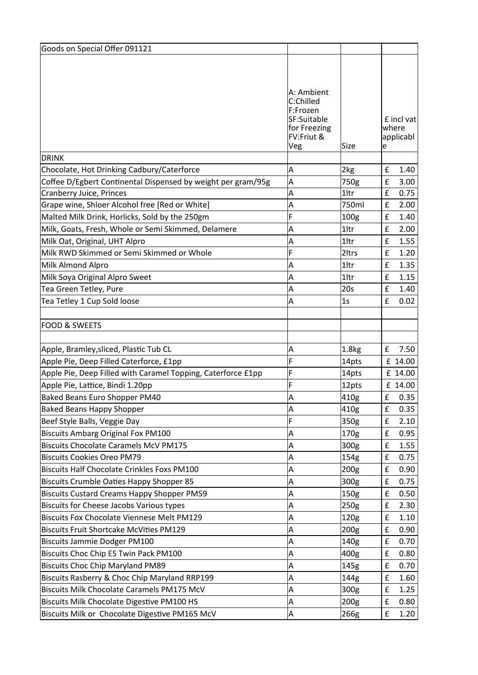| Goods on Special Offer 091121                                |                                                                                                |                   |                                       |
|--------------------------------------------------------------|------------------------------------------------------------------------------------------------|-------------------|---------------------------------------|
|                                                              |                                                                                                |                   |                                       |
|                                                              |                                                                                                |                   |                                       |
|                                                              | A: Ambient<br>C:Chilled<br>F:Frozen<br>SF:Suitable<br>for Freezing<br>FV:Friut &<br><b>Veg</b> | Size              | £ incl vat<br>where<br>applicabl<br>e |
| DRINK                                                        |                                                                                                |                   |                                       |
| Chocolate, Hot Drinking Cadbury/Caterforce                   | Α                                                                                              | 2kg               | £<br>1.40                             |
| Coffee D/Egbert Continental Dispensed by weight per gram/95g | A                                                                                              | 750g              | £<br>3.00                             |
| Cranberry Juice, Princes                                     | A                                                                                              | 1ltr              | £<br>0.75                             |
| Grape wine, Shloer Alcohol free [Red or White]               | Α                                                                                              | 750ml             | 2.00<br>£                             |
| Malted Milk Drink, Horlicks, Sold by the 250gm               | F                                                                                              | 100g              | £<br>1.40                             |
| Milk, Goats, Fresh, Whole or Semi Skimmed, Delamere          | A                                                                                              | 1ltr              | £<br>2.00                             |
| Milk Oat, Original, UHT Alpro                                | Α                                                                                              | 1ltr              | £<br>1.55                             |
| Milk RWD Skimmed or Semi Skimmed or Whole                    | F                                                                                              | 2ltrs             | £<br>1.20                             |
| Milk Almond Alpro                                            | Α                                                                                              | 1ltr              | £<br>1.35                             |
| Milk Soya Original Alpro Sweet                               | Α                                                                                              | 1ltr              | £<br>1.15                             |
| Tea Green Tetley, Pure                                       | Α                                                                                              | 20s               | £<br>1.40                             |
| Tea Tetley 1 Cup Sold loose                                  | Α                                                                                              | 1s                | 0.02<br>£                             |
|                                                              |                                                                                                |                   |                                       |
| <b>FOOD &amp; SWEETS</b>                                     |                                                                                                |                   |                                       |
|                                                              |                                                                                                |                   |                                       |
| Apple, Bramley, sliced, Plastic Tub CL                       | Α                                                                                              | 1.8 <sub>kg</sub> | £<br>7.50                             |
| Apple Pie, Deep Filled Caterforce, £1pp                      | F                                                                                              | 14pts             | £ 14.00                               |
| Apple Pie, Deep Filled with Caramel Topping, Caterforce £1pp | F                                                                                              | 14pts             | £ 14.00                               |
| Apple Pie, Lattice, Bindi 1.20pp                             | F                                                                                              | 12pts             | £ 14.00                               |
| Baked Beans Euro Shopper PM40                                | lΑ                                                                                             | 410g              | £<br>0.35                             |
| <b>Baked Beans Happy Shopper</b>                             | Α                                                                                              | 410g              | £<br>0.35                             |
| Beef Style Balls, Veggie Day                                 | F                                                                                              | 350g              | £<br>2.10                             |
| <b>Biscuits Ambarg Original Fox PM100</b>                    | Α                                                                                              | 170g              | £<br>0.95                             |
| <b>Biscuits Chocolate Caramels McV PM175</b>                 | Α                                                                                              | 300g              | £<br>1.55                             |
| <b>Biscuits Cookies Oreo PM79</b>                            | Α                                                                                              | 154g              | £<br>0.75                             |
| <b>Biscuits Half Chocolate Crinkles Foxs PM100</b>           | Α                                                                                              | 200g              | 0.90<br>£                             |
| Biscuits Crumble Oaties Happy Shopper 85                     | Α                                                                                              | 300g              | £<br>0.75                             |
| <b>Biscuits Custard Creams Happy Shopper PM59</b>            | Α                                                                                              | 150g              | £<br>0.50                             |
| <b>Biscuits for Cheese Jacobs Various types</b>              | Α                                                                                              | 250g              | £<br>2.30                             |
| <b>Biscuits Fox Chocolate Viennese Melt PM129</b>            | Α                                                                                              | 120g              | £<br>1.10                             |
| <b>Biscuits Fruit Shortcake McVities PM129</b>               | Α                                                                                              | 200 <sub>g</sub>  | £<br>0.90                             |
| Biscuits Jammie Dodger PM100                                 | Α                                                                                              | 140g              | £<br>0.70                             |
| Biscuits Choc Chip ES Twin Pack PM100                        | Α                                                                                              | 400g              | £<br>0.80                             |
| <b>Biscuits Choc Chip Maryland PM89</b>                      | Α                                                                                              | 145g              | £<br>0.70                             |
| Biscuits Rasberry & Choc Chip Maryland RRP199                | A                                                                                              | 144g              | £<br>1.60                             |
| Biscuits Milk Chocolate Caramels PM175 McV                   | Α                                                                                              | 300g              | £<br>1.25                             |
| Biscuits Milk Chocolate Digestive PM100 HS                   | Α                                                                                              | 200 <sub>g</sub>  | £<br>0.80                             |
| Biscuits Milk or Chocolate Digestive PM165 McV               | Α                                                                                              | 266g              | £<br>1.20                             |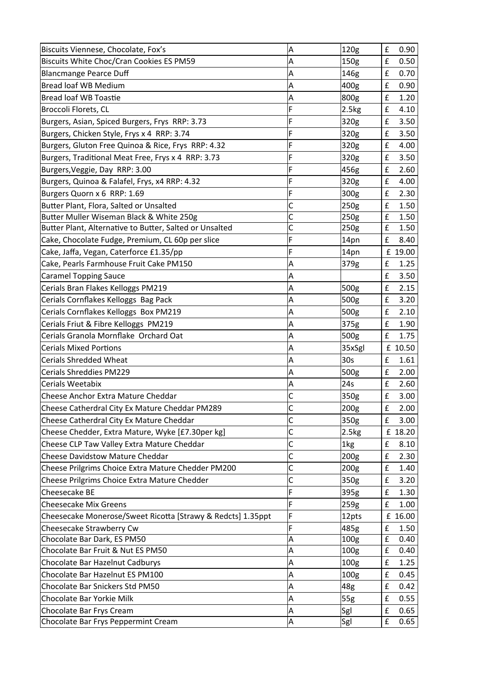| Biscuits Viennese, Chocolate, Fox's                         | A                       | 120g             | £                  | 0.90    |
|-------------------------------------------------------------|-------------------------|------------------|--------------------|---------|
| Biscuits White Choc/Cran Cookies ES PM59                    | A                       | 150g             | £                  | 0.50    |
| <b>Blancmange Pearce Duff</b>                               | Α                       | 146g             | £                  | 0.70    |
| Bread loaf WB Medium                                        | Α                       | 400g             | £                  | 0.90    |
| Bread loaf WB Toastie                                       | Α                       | 800g             | £                  | 1.20    |
| Broccoli Florets, CL                                        | F                       | 2.5kg            | £                  | 4.10    |
| Burgers, Asian, Spiced Burgers, Frys RRP: 3.73              | F                       | 320g             | £                  | 3.50    |
| Burgers, Chicken Style, Frys x 4 RRP: 3.74                  | F                       | 320g             | £                  | 3.50    |
| Burgers, Gluton Free Quinoa & Rice, Frys RRP: 4.32          | F                       | 320g             | £                  | 4.00    |
| Burgers, Traditional Meat Free, Frys x 4 RRP: 3.73          | F                       | 320g             | £                  | 3.50    |
| Burgers, Veggie, Day RRP: 3.00                              | F                       | 456g             | £                  | 2.60    |
| Burgers, Quinoa & Falafel, Frys, x4 RRP: 4.32               | F                       | 320g             | £                  | 4.00    |
| Burgers Quorn x 6 RRP: 1.69                                 | F                       | 300g             | £                  | 2.30    |
| Butter Plant, Flora, Salted or Unsalted                     | C                       | 250g             | £                  | 1.50    |
| Butter Muller Wiseman Black & White 250g                    | C                       | 250g             | £                  | 1.50    |
| Butter Plant, Alternative to Butter, Salted or Unsalted     | $\overline{\mathsf{c}}$ | 250g             | £                  | 1.50    |
| Cake, Chocolate Fudge, Premium, CL 60p per slice            | F                       | 14pn             | £                  | 8.40    |
| Cake, Jaffa, Vegan, Caterforce £1.35/pp                     | F                       | 14pn             |                    | £ 19.00 |
| Cake, Pearls Farmhouse Fruit Cake PM150                     | Α                       | 379g             | £                  | 1.25    |
| <b>Caramel Topping Sauce</b>                                | Α                       |                  | £                  | 3.50    |
| Cerials Bran Flakes Kelloggs PM219                          | A                       | 500g             | £                  | 2.15    |
| Cerials Cornflakes Kelloggs Bag Pack                        | Α                       | 500g             | £                  | 3.20    |
| Cerials Cornflakes Kelloggs Box PM219                       | $\overline{\mathsf{A}}$ | 500g             | £                  | 2.10    |
| Cerials Friut & Fibre Kelloggs PM219                        | Α                       | 375g             | £                  | 1.90    |
| Cerials Granola Mornflake Orchard Oat                       | Α                       | 500g             | £                  | 1.75    |
| Cerials Mixed Portions                                      | Α                       | 35xSgl           |                    | £ 10.50 |
| Cerials Shredded Wheat                                      | Α                       | 30s              | £                  | 1.61    |
| Cerials Shreddies PM229                                     | Α                       | 500g             | £                  | 2.00    |
| Cerials Weetabix                                            | A                       | 24s              | £                  | 2.60    |
| Cheese Anchor Extra Mature Cheddar                          | $\mathsf{C}$            | 350g             | £                  | 3.00    |
| Cheese Catherdral City Ex Mature Cheddar PM289              | Iс                      | 200g             | £                  | 2.00    |
| Cheese Catherdral City Ex Mature Cheddar                    | $\mathsf{C}$            | 350g             | £                  | 3.00    |
| Cheese Chedder, Extra Mature, Wyke [£7.30per kg]            | $\mathsf{C}$            | 2.5kg            |                    | £ 18.20 |
| Cheese CLP Taw Valley Extra Mature Cheddar                  | $\mathsf{C}$            | 1kg              | £                  | 8.10    |
| <b>Cheese Davidstow Mature Cheddar</b>                      | $\mathsf{C}$            | 200 <sub>g</sub> | £                  | 2.30    |
| Cheese Prilgrims Choice Extra Mature Chedder PM200          | C                       | 200 <sub>g</sub> | £                  | 1.40    |
| Cheese Prilgrims Choice Extra Mature Chedder                | C                       | 350g             | £                  | 3.20    |
| Cheesecake BE                                               | F                       | 395g             | £                  | 1.30    |
| <b>Cheesecake Mix Greens</b>                                | F                       | 259g             | £                  | 1.00    |
| Cheesecake Monerose/Sweet Ricotta [Strawy & Redcts] 1.35ppt | F                       | 12pts            |                    | £ 16.00 |
| Cheesecake Strawberry Cw                                    | F                       | 485g             | £                  | 1.50    |
| Chocolate Bar Dark, ES PM50                                 | Α                       | 100 <sub>g</sub> | £                  | 0.40    |
| Chocolate Bar Fruit & Nut ES PM50                           | Α                       | 100 <sub>g</sub> | £                  | 0.40    |
| Chocolate Bar Hazelnut Cadburys                             | $\overline{\mathsf{A}}$ | 100 <sub>g</sub> | $\pmb{\mathsf{f}}$ | 1.25    |
| Chocolate Bar Hazelnut ES PM100                             | Α                       | 100 <sub>g</sub> | £                  | 0.45    |
| Chocolate Bar Snickers Std PM50                             | $\overline{\mathsf{A}}$ | 48g              | $\pmb{\mathsf{f}}$ | 0.42    |
| Chocolate Bar Yorkie Milk                                   | Α                       | 55g              | £                  | 0.55    |
| Chocolate Bar Frys Cream                                    | $\overline{\mathsf{A}}$ | Sgl              | £                  | 0.65    |
| Chocolate Bar Frys Peppermint Cream                         | A                       | Sgl              | £                  | 0.65    |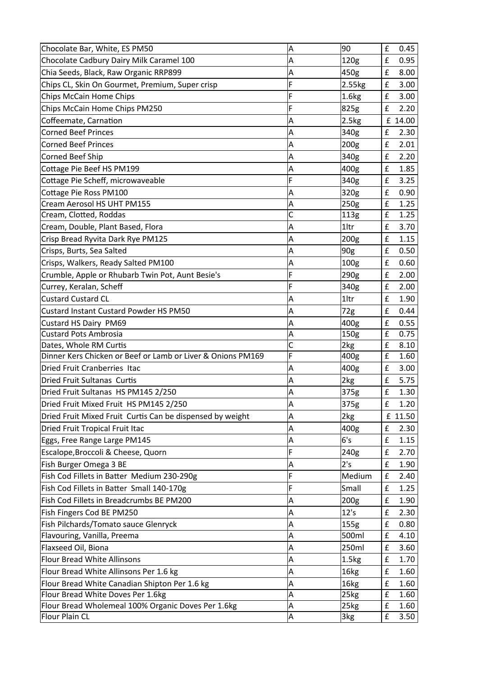| Chocolate Bar, White, ES PM50                               | Α | 90                | £                  | 0.45    |
|-------------------------------------------------------------|---|-------------------|--------------------|---------|
| Chocolate Cadbury Dairy Milk Caramel 100                    | Α | 120g              | £                  | 0.95    |
| Chia Seeds, Black, Raw Organic RRP899                       | Α | 450g              | £                  | 8.00    |
| Chips CL, Skin On Gourmet, Premium, Super crisp             | F | 2.55kg            | £                  | 3.00    |
| Chips McCain Home Chips                                     | F | 1.6kg             | £                  | 3.00    |
| Chips McCain Home Chips PM250                               | F | 825g              | £                  | 2.20    |
| Coffeemate, Carnation                                       | Α | 2.5kg             |                    | £ 14.00 |
| <b>Corned Beef Princes</b>                                  | А | 340g              | £                  | 2.30    |
| Corned Beef Princes                                         | Α | 200 <sub>g</sub>  | £                  | 2.01    |
| Corned Beef Ship                                            | А | 340g              | £                  | 2.20    |
| Cottage Pie Beef HS PM199                                   | Α | 400g              | £                  | 1.85    |
| Cottage Pie Scheff, microwaveable                           | F | 340g              | £                  | 3.25    |
| Cottage Pie Ross PM100                                      | Α | 320g              | £                  | 0.90    |
| Cream Aerosol HS UHT PM155                                  | Α | 250g              | £                  | 1.25    |
| Cream, Clotted, Roddas                                      | Ċ | 113g              | £                  | 1.25    |
| Cream, Double, Plant Based, Flora                           | A | 1ltr              | £                  | 3.70    |
| Crisp Bread Ryvita Dark Rye PM125                           | A | 200 <sub>g</sub>  | £                  | 1.15    |
| Crisps, Burts, Sea Salted                                   | A | 90g               | £                  | 0.50    |
| Crisps, Walkers, Ready Salted PM100                         | A | 100g              | £                  | 0.60    |
| Crumble, Apple or Rhubarb Twin Pot, Aunt Besie's            | Ë | 290g              | £                  | 2.00    |
| Currey, Keralan, Scheff                                     | Ë | 340g              | £                  | 2.00    |
| <b>Custard Custard CL</b>                                   | Α | 1ltr              | £                  | 1.90    |
| Custard Instant Custard Powder HS PM50                      | A | 72g               | £                  | 0.44    |
| Custard HS Dairy PM69                                       | Α | 400g              | £                  | 0.55    |
| Custard Pots Ambrosia                                       | Α | 150g              | £                  | 0.75    |
| Dates, Whole RM Curtis                                      | C | 2kg               | £                  | 8.10    |
| Dinner Kers Chicken or Beef or Lamb or Liver & Onions PM169 | F | 400g              | £                  | 1.60    |
| Dried Fruit Cranberries Itac                                | А | 400g              | £                  | 3.00    |
| Dried Fruit Sultanas Curtis                                 | Α | 2kg               | $\pmb{\mathsf{f}}$ | 5.75    |
| Dried Fruit Sultanas HS PM145 2/250                         | Α | 375g              | £                  | 1.30    |
| Dried Fruit Mixed Fruit HS PM145 2/250                      | A | 375g              | f                  | 1.20    |
| Dried Fruit Mixed Fruit Curtis Can be dispensed by weight   | Α | 2kg               |                    | £ 11.50 |
| Dried Fruit Tropical Fruit Itac                             | A | 400g              | £                  | 2.30    |
| Eggs, Free Range Large PM145                                | Α | 6's               | £                  | 1.15    |
| Escalope, Broccoli & Cheese, Quorn                          | F | 240g              | £                  | 2.70    |
| Fish Burger Omega 3 BE                                      | А | 2's               | £                  | 1.90    |
| Fish Cod Fillets in Batter Medium 230-290g                  | F | Medium            | £                  | 2.40    |
| Fish Cod Fillets in Batter Small 140-170g                   | F | Small             | £                  | 1.25    |
| Fish Cod Fillets in Breadcrumbs BE PM200                    | Α | 200 <sub>g</sub>  | £                  | 1.90    |
| Fish Fingers Cod BE PM250                                   | Α | 12's              | £                  | 2.30    |
| Fish Pilchards/Tomato sauce Glenryck                        | Α | 155 <sub>g</sub>  | $\mathbf f$        | 0.80    |
| Flavouring, Vanilla, Preema                                 | A | 500ml             | £                  | 4.10    |
| Flaxseed Oil, Biona                                         | Α | 250ml             | $\mathbf f$        | 3.60    |
| Flour Bread White Allinsons                                 | Α | 1.5 <sub>kg</sub> | £                  | 1.70    |
| Flour Bread White Allinsons Per 1.6 kg                      | Α | 16kg              | £                  | 1.60    |
| Flour Bread White Canadian Shipton Per 1.6 kg               | Α | 16kg              | £                  | 1.60    |
| Flour Bread White Doves Per 1.6kg                           | A | 25kg              | £                  | 1.60    |
| Flour Bread Wholemeal 100% Organic Doves Per 1.6kg          | A | 25kg              | $\pmb{\mathsf{f}}$ | 1.60    |
| Flour Plain CL                                              | Α | 3kg               | $\mathbf f$        | 3.50    |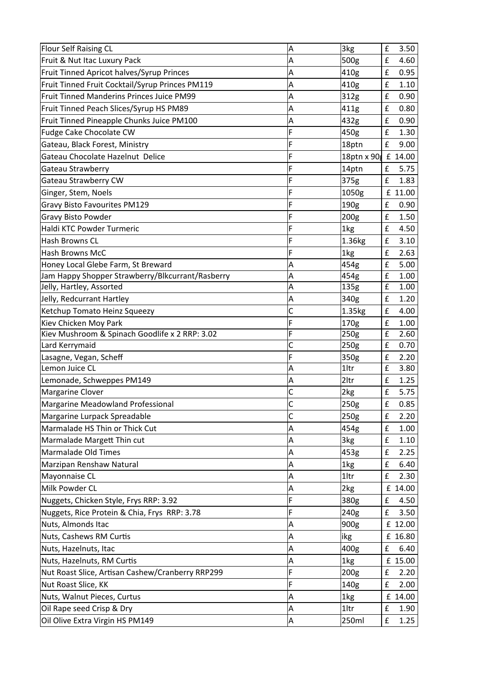| Flour Self Raising CL                            | A | 3kg                | £ | 3.50    |
|--------------------------------------------------|---|--------------------|---|---------|
| Fruit & Nut Itac Luxury Pack                     | Α | 500g               | £ | 4.60    |
| Fruit Tinned Apricot halves/Syrup Princes        | A | 410g               | £ | 0.95    |
| Fruit Tinned Fruit Cocktail/Syrup Princes PM119  | A | 410g               | £ | 1.10    |
| <b>Fruit Tinned Manderins Princes Juice PM99</b> | A | 312g               | £ | 0.90    |
| Fruit Tinned Peach Slices/Syrup HS PM89          | A | 411g               | £ | 0.80    |
| Fruit Tinned Pineapple Chunks Juice PM100        | A | 432g               | £ | 0.90    |
| Fudge Cake Chocolate CW                          | F | 450g               | £ | 1.30    |
| Gateau, Black Forest, Ministry                   | F | 18ptn              | £ | 9.00    |
| Gateau Chocolate Hazelnut Delice                 | F | 18ptn x 90 £ 14.00 |   |         |
| Gateau Strawberry                                | F | 14ptn              | £ | 5.75    |
| Gateau Strawberry CW                             | F | 375g               | £ | 1.83    |
| Ginger, Stem, Noels                              | F | 1050g              |   | £ 11.00 |
| Gravy Bisto Favourites PM129                     | F | 190g               | £ | 0.90    |
| <b>Gravy Bisto Powder</b>                        | F | 200g               | £ | 1.50    |
| Haldi KTC Powder Turmeric                        | F | 1kg                | £ | 4.50    |
| <b>Hash Browns CL</b>                            | F | 1.36kg             | £ | 3.10    |
| <b>Hash Browns McC</b>                           | F | 1kg                | £ | 2.63    |
| Honey Local Glebe Farm, St Breward               | A | 454g               | £ | 5.00    |
| Jam Happy Shopper Strawberry/Blkcurrant/Rasberry | A | 454g               | £ | 1.00    |
| Jelly, Hartley, Assorted                         | A | 135g               | £ | 1.00    |
| Jelly, Redcurrant Hartley                        | A | 340g               | £ | 1.20    |
| Ketchup Tomato Heinz Squeezy                     | Ċ | 1.35kg             | £ | 4.00    |
| Kiev Chicken Moy Park                            | F | 170g               | £ | 1.00    |
| Kiev Mushroom & Spinach Goodlife x 2 RRP: 3.02   | F | 250g               | £ | 2.60    |
| Lard Kerrymaid                                   | C | 250g               | £ | 0.70    |
| Lasagne, Vegan, Scheff                           | F | 350g               | £ | 2.20    |
| Lemon Juice CL                                   | Α | 1ltr               | £ | 3.80    |
| Lemonade, Schweppes PM149                        | Α | 2ltr               | £ | 1.25    |
| Margarine Clover                                 | C | 2kg                | £ | 5.75    |
| Margarine Meadowland Professional                | C | 250g               | £ | 0.85    |
| Margarine Lurpack Spreadable                     | Ċ | 250g               | £ | 2.20    |
| Marmalade HS Thin or Thick Cut                   | Α | 454g               | £ | 1.00    |
| Marmalade Margett Thin cut                       | Α | 3 <sub>kg</sub>    | £ | 1.10    |
| Marmalade Old Times                              | Α | 453g               | £ | 2.25    |
| Marzipan Renshaw Natural                         | Α | 1kg                | £ | 6.40    |
| Mayonnaise CL                                    | A | 1ltr               | £ | 2.30    |
| Milk Powder CL                                   | A | 2kg                |   | £ 14.00 |
| Nuggets, Chicken Style, Frys RRP: 3.92           | F | 380g               | £ | 4.50    |
| Nuggets, Rice Protein & Chia, Frys RRP: 3.78     | F | 240g               | £ | 3.50    |
| Nuts, Almonds Itac                               | A | 900g               |   | £ 12.00 |
| Nuts, Cashews RM Curtis                          | A | likg               |   | £ 16.80 |
| Nuts, Hazelnuts, Itac                            | A | 400g               | £ | 6.40    |
| Nuts, Hazelnuts, RM Curtis                       | A | 1kg                |   | £ 15.00 |
| Nut Roast Slice, Artisan Cashew/Cranberry RRP299 | F | 200 <sub>g</sub>   | £ | 2.20    |
| Nut Roast Slice, KK                              | F | 140g               | £ | 2.00    |
| Nuts, Walnut Pieces, Curtus                      | Α | 1kg                |   | £ 14.00 |
| Oil Rape seed Crisp & Dry                        | Α | 1ltr               | £ | 1.90    |
| Oil Olive Extra Virgin HS PM149                  | A | 250ml              | £ | 1.25    |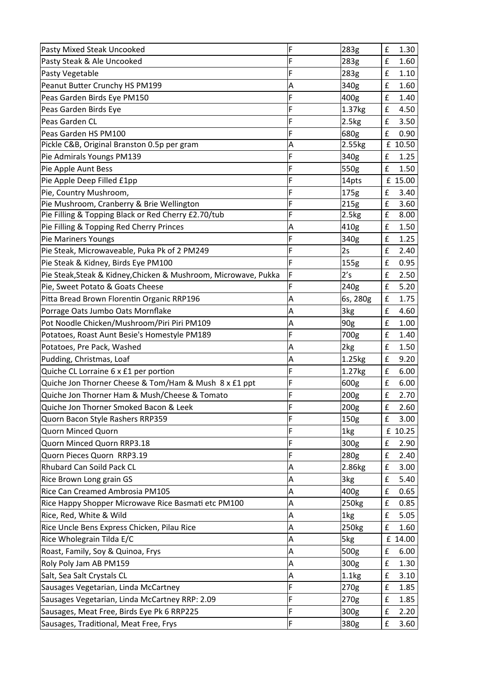| Pasty Mixed Steak Uncooked                                      | F | 283g             | £                  | 1.30    |
|-----------------------------------------------------------------|---|------------------|--------------------|---------|
| Pasty Steak & Ale Uncooked                                      | F | 283g             | £                  | 1.60    |
| Pasty Vegetable                                                 | F | 283g             | £                  | 1.10    |
| Peanut Butter Crunchy HS PM199                                  | Α | 340g             | £                  | 1.60    |
| Peas Garden Birds Eye PM150                                     | F | 400g             | £                  | 1.40    |
| Peas Garden Birds Eye                                           | F | 1.37kg           | £                  | 4.50    |
| Peas Garden CL                                                  | F | 2.5kg            | £                  | 3.50    |
| Peas Garden HS PM100                                            | F | 680g             | £                  | 0.90    |
| Pickle C&B, Original Branston 0.5p per gram                     | A | 2.55kg           |                    | £ 10.50 |
| Pie Admirals Youngs PM139                                       | F | 340g             | £                  | 1.25    |
| Pie Apple Aunt Bess                                             | F | 550g             | £                  | 1.50    |
| Pie Apple Deep Filled £1pp                                      | F | 14pts            |                    | £ 15.00 |
| Pie, Country Mushroom,                                          | F | 175g             | £                  | 3.40    |
| Pie Mushroom, Cranberry & Brie Wellington                       | F | 215g             | £                  | 3.60    |
| Pie Filling & Topping Black or Red Cherry £2.70/tub             | F | 2.5kg            | $\mathbf f$        | 8.00    |
| Pie Filling & Topping Red Cherry Princes                        | A | 410g             | $\pmb{\mathsf{f}}$ | 1.50    |
| Pie Mariners Youngs                                             | F | 340g             | £                  | 1.25    |
| Pie Steak, Microwaveable, Puka Pk of 2 PM249                    | F | 2s               | £                  | 2.40    |
| Pie Steak & Kidney, Birds Eye PM100                             | F | 155g             | £                  | 0.95    |
| Pie Steak, Steak & Kidney, Chicken & Mushroom, Microwave, Pukka | F | 2's              | $\mathbf f$        | 2.50    |
| Pie, Sweet Potato & Goats Cheese                                | F | 240g             | £                  | 5.20    |
| Pitta Bread Brown Florentin Organic RRP196                      | A | 6s, 280g         | $\mathbf f$        | 1.75    |
| Porrage Oats Jumbo Oats Mornflake                               | A | 3 <sub>kg</sub>  | £                  | 4.60    |
| Pot Noodle Chicken/Mushroom/Piri Piri PM109                     | A | 90g              | $\pmb{\mathsf{f}}$ | 1.00    |
| Potatoes, Roast Aunt Besie's Homestyle PM189                    | F | 700g             | £                  | 1.40    |
| Potatoes, Pre Pack, Washed                                      | A | 2kg              | $\pmb{\mathsf{f}}$ | 1.50    |
| Pudding, Christmas, Loaf                                        | A | 1.25kg           | £                  | 9.20    |
| Quiche CL Lorraine 6 x £1 per portion                           | F | 1.27kg           | $\pmb{\mathsf{f}}$ | 6.00    |
| Quiche Jon Thorner Cheese & Tom/Ham & Mush 8 x £1 ppt           | F | 600g             | £                  | 6.00    |
| Quiche Jon Thorner Ham & Mush/Cheese & Tomato                   | F | 200g             | £                  | 2.70    |
| Quiche Jon Thorner Smoked Bacon & Leek                          | F | 200g             | £                  | 2.60    |
| Quorn Bacon Style Rashers RRP359                                | F | 150 <sub>g</sub> | £                  | 3.00    |
| Quorn Minced Quorn                                              | F | 1kg              |                    | £ 10.25 |
| Quorn Minced Quorn RRP3.18                                      | F | 300g             | £                  | 2.90    |
| Quorn Pieces Quorn RRP3.19                                      | F | 280g             | £                  | 2.40    |
| Rhubard Can Soild Pack CL                                       | A | 2.86kg           | $\pmb{\mathsf{f}}$ | 3.00    |
| Rice Brown Long grain GS                                        | A | 3kg              | £                  | 5.40    |
| Rice Can Creamed Ambrosia PM105                                 | A | 400g             | $\pmb{\mathsf{f}}$ | 0.65    |
| Rice Happy Shopper Microwave Rice Basmati etc PM100             | A | 250kg            | £                  | 0.85    |
| Rice, Red, White & Wild                                         | A | 1kg              | $\pmb{\mathsf{f}}$ | 5.05    |
| Rice Uncle Bens Express Chicken, Pilau Rice                     | A | 250kg            | £                  | 1.60    |
| Rice Wholegrain Tilda E/C                                       | A | 5kg              |                    | £ 14.00 |
| Roast, Family, Soy & Quinoa, Frys                               | A | 500g             | £                  | 6.00    |
| Roly Poly Jam AB PM159                                          | A | 300g             | $\pmb{\mathsf{f}}$ | 1.30    |
| Salt, Sea Salt Crystals CL                                      | A | 1.1kg            | £                  | 3.10    |
| Sausages Vegetarian, Linda McCartney                            | F | 270g             | $\pmb{\mathsf{f}}$ | 1.85    |
| Sausages Vegetarian, Linda McCartney RRP: 2.09                  | F | 270g             | £                  | 1.85    |
| Sausages, Meat Free, Birds Eye Pk 6 RRP225                      | F | 300g             | $\pmb{\mathsf{f}}$ | 2.20    |
| Sausages, Traditional, Meat Free, Frys                          | F | 380g             | £                  | 3.60    |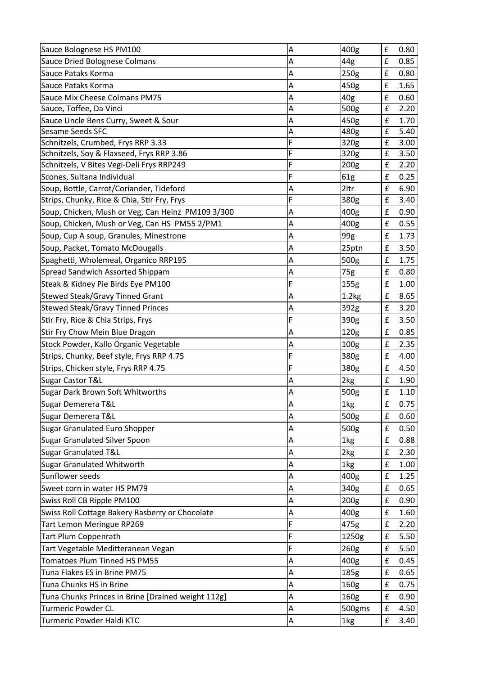| Sauce Bolognese HS PM100                           | А | 400g             | £           | 0.80 |
|----------------------------------------------------|---|------------------|-------------|------|
| Sauce Dried Bolognese Colmans                      | Α | 44g              | £           | 0.85 |
| lSauce Pataks Korma                                | Α | 250g             | £           | 0.80 |
| Sauce Pataks Korma                                 | Α | 450g             | £           | 1.65 |
| Sauce Mix Cheese Colmans PM75                      | Α | 40 <sub>g</sub>  | £           | 0.60 |
| Sauce, Toffee, Da Vinci                            | Α | 500g             | £           | 2.20 |
| Sauce Uncle Bens Curry, Sweet & Sour               | A | 450g             | £           | 1.70 |
| Sesame Seeds SFC                                   | Α | 480g             | £           | 5.40 |
| Schnitzels, Crumbed, Frys RRP 3.33                 | F | 320g             | £           | 3.00 |
| Schnitzels, Soy & Flaxseed, Frys RRP 3.86          | F | 320g             | £           | 3.50 |
| Schnitzels, V Bites Vegi-Deli Frys RRP249          | F | 200g             | £           | 2.20 |
| Scones, Sultana Individual                         | F | 61g              | £           | 0.25 |
| Soup, Bottle, Carrot/Coriander, Tideford           | Α | 2ltr             | £           | 6.90 |
| Strips, Chunky, Rice & Chia, Stir Fry, Frys        | F | 380g             | £           | 3.40 |
| Soup, Chicken, Mush or Veg, Can Heinz PM109 3/300  | Α | 400g             | £           | 0.90 |
| Soup, Chicken, Mush or Veg, Can HS PM55 2/PM1      | Α | 400g             | £           | 0.55 |
| Soup, Cup A soup, Granules, Minestrone             | Α | 99g              | £           | 1.73 |
| Soup, Packet, Tomato McDougalls                    | Α | 25ptn            | £           | 3.50 |
| Spaghetti, Wholemeal, Organico RRP195              | Α | 500g             | £           | 1.75 |
| Spread Sandwich Assorted Shippam                   | Α | 75g              | £           | 0.80 |
| Steak & Kidney Pie Birds Eye PM100                 | F | 155g             | £           | 1.00 |
| Stewed Steak/Gravy Tinned Grant                    | Α | 1.2kg            | £           | 8.65 |
| Stewed Steak/Gravy Tinned Princes                  | Α | 392g             | £           | 3.20 |
| Stir Fry, Rice & Chia Strips, Frys                 | F | 390g             | £           | 3.50 |
| Stir Fry Chow Mein Blue Dragon                     | Α | 120g             | £           | 0.85 |
| Stock Powder, Kallo Organic Vegetable              | Α | 100 <sub>g</sub> | £           | 2.35 |
| Strips, Chunky, Beef style, Frys RRP 4.75          | F | 380g             | £           | 4.00 |
| Strips, Chicken style, Frys RRP 4.75               | F | 380g             | £           | 4.50 |
| Sugar Castor T&L                                   | Α | 2kg              | £           | 1.90 |
| Sugar Dark Brown Soft Whitworths                   | Α | 500g             | £           | 1.10 |
| Sugar Demerera T&L                                 | A | 1kg              | £           | 0.75 |
| Sugar Demerera T&L                                 | Α | 500g             | £           | 0.60 |
| Sugar Granulated Euro Shopper                      | Α | 500g             | $\mathbf f$ | 0.50 |
| Sugar Granulated Silver Spoon                      | Α | 1kg              | £           | 0.88 |
| Sugar Granulated T&L                               | A | 2kg              | £           | 2.30 |
| Sugar Granulated Whitworth                         | Α | 1kg              | £           | 1.00 |
| Sunflower seeds                                    | A | 400g             | £           | 1.25 |
| Sweet corn in water HS PM79                        | Α | 340g             | £           | 0.65 |
| Swiss Roll CB Ripple PM100                         | A | 200g             | £           | 0.90 |
| Swiss Roll Cottage Bakery Rasberry or Chocolate    | Α | 400g             | £           | 1.60 |
| Tart Lemon Meringue RP269                          | F | 475g             | £           | 2.20 |
| Tart Plum Coppenrath                               | F | 1250g            | £           | 5.50 |
| Tart Vegetable Meditteranean Vegan                 | Ë | 260g             | £           | 5.50 |
| Tomatoes Plum Tinned HS PM55                       | Α | 400g             | £           | 0.45 |
| Tuna Flakes ES in Brine PM75                       | A | 185g             | £           | 0.65 |
| Tuna Chunks HS in Brine                            | Α | 160g             | £           | 0.75 |
| Tuna Chunks Princes in Brine [Drained weight 112g] | A | 160g             | £           | 0.90 |
| <b>Turmeric Powder CL</b>                          | Α | 500gms           | £           | 4.50 |
| Turmeric Powder Haldi KTC                          | A | 1kg              | £           | 3.40 |
|                                                    |   |                  |             |      |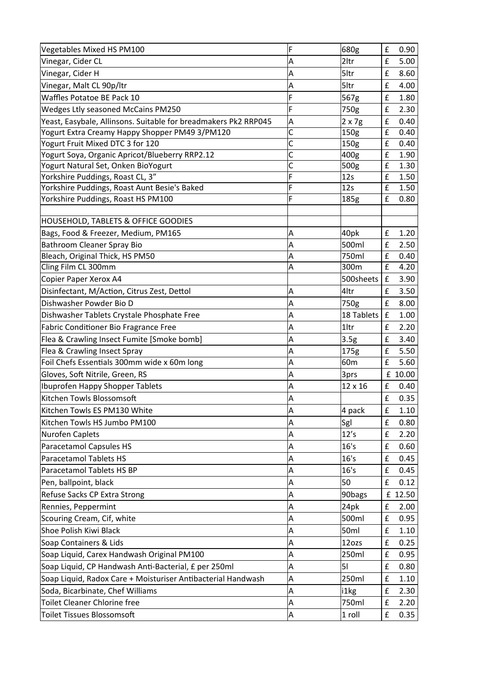| Vegetables Mixed HS PM100                                       | F | 680g            | £           | 0.90    |
|-----------------------------------------------------------------|---|-----------------|-------------|---------|
| Vinegar, Cider CL                                               | Α | 2ltr            | £           | 5.00    |
| Vinegar, Cider H                                                | A | 5ltr            | £           | 8.60    |
| Vinegar, Malt CL 90p/ltr                                        | Α | 5ltr            | £           | 4.00    |
| Waffles Potatoe BE Pack 10                                      | Ë | 567g            | £           | 1.80    |
| Wedges Ltly seasoned McCains PM250                              | F | 750g            | £           | 2.30    |
| Yeast, Easybale, Allinsons. Suitable for breadmakers Pk2 RRP045 | A | $2 \times 7g$   | £           | 0.40    |
| Yogurt Extra Creamy Happy Shopper PM49 3/PM120                  | C | 150g            | £           | 0.40    |
| Yogurt Fruit Mixed DTC 3 for 120                                | C | 150g            | £           | 0.40    |
| Yogurt Soya, Organic Apricot/Blueberry RRP2.12                  | C | 400g            | $\mathbf f$ | 1.90    |
| Yogurt Natural Set, Onken BioYogurt                             | Ċ | 500g            | £           | 1.30    |
| Yorkshire Puddings, Roast CL, 3"                                | F | 12s             | £           | 1.50    |
| Yorkshire Puddings, Roast Aunt Besie's Baked                    | F | 12s             | £           | 1.50    |
| Yorkshire Puddings, Roast HS PM100                              | F | 185g            | £           | 0.80    |
| HOUSEHOLD, TABLETS & OFFICE GOODIES                             |   |                 |             |         |
| Bags, Food & Freezer, Medium, PM165                             | А | 40pk            | £           | 1.20    |
| <b>Bathroom Cleaner Spray Bio</b>                               | Α | 500ml           | £           | 2.50    |
| Bleach, Original Thick, HS PM50                                 | Α | 750ml           | £           | 0.40    |
| Cling Film CL 300mm                                             | Α | 300m            | £           | 4.20    |
| Copier Paper Xerox A4                                           |   | 500sheets       | $\mathbf f$ | 3.90    |
| Disinfectant, M/Action, Citrus Zest, Dettol                     | Α | 4ltr            | £           | 3.50    |
| Dishwasher Powder Bio D                                         | A | 750g            | £           | 8.00    |
| Dishwasher Tablets Crystale Phosphate Free                      | Α | 18 Tablets      | £           | 1.00    |
| Fabric Conditioner Bio Fragrance Free                           | A | 1ltr            | £           | 2.20    |
| Flea & Crawling Insect Fumite [Smoke bomb]                      | Α | 3.5g            | £           | 3.40    |
| Flea & Crawling Insect Spray                                    | A | 175g            | £           | 5.50    |
| Foil Chefs Essentials 300mm wide x 60m long                     | Α | 60 <sub>m</sub> | £           | 5.60    |
| Gloves, Soft Nitrile, Green, RS                                 | Α | 3prs            |             | £ 10.00 |
| <b>Ibuprofen Happy Shopper Tablets</b>                          | Α | 12 x 16         | £           | 0.40    |
| Kitchen Towls Blossomsoft                                       | A |                 | £           | 0.35    |
| Kitchen Towls ES PM130 White                                    | A | 4 pack          | £           | 1.10    |
| Kitchen Towls HS Jumbo PM100                                    | A | Sgl             | £           | 0.80    |
| Nurofen Caplets                                                 | A | 12's            | £           | 2.20    |
| Paracetamol Capsules HS                                         | A | 16's            | £           | 0.60    |
| Paracetamol Tablets HS                                          | A | 16's            | £           | 0.45    |
| Paracetamol Tablets HS BP                                       | A | 16's            | $\mathbf f$ | 0.45    |
| Pen, ballpoint, black                                           | A | 50              | £           | 0.12    |
| Refuse Sacks CP Extra Strong                                    | A | 90bags          |             | £ 12.50 |
| Rennies, Peppermint                                             | A | 24pk            | £           | 2.00    |
| Scouring Cream, Cif, white                                      | A | 500ml           | £           | 0.95    |
| Shoe Polish Kiwi Black                                          | A | 50ml            | $\mathbf f$ | 1.10    |
| Soap Containers & Lids                                          | A | 12ozs           | £           | 0.25    |
| Soap Liquid, Carex Handwash Original PM100                      | A | 250ml           | £           | 0.95    |
| Soap Liquid, CP Handwash Anti-Bacterial, £ per 250ml            | A | 51              | £           | 0.80    |
| Soap Liquid, Radox Care + Moisturiser Antibacterial Handwash    | A | 250ml           | $\mathbf f$ | 1.10    |
| Soda, Bicarbinate, Chef Williams                                | A | i1kg            | £           | 2.30    |
| <b>Toilet Cleaner Chlorine free</b>                             | A | 750ml           | £           | 2.20    |
| Toilet Tissues Blossomsoft                                      | A | 1 roll          | $\mathbf f$ | 0.35    |
|                                                                 |   |                 |             |         |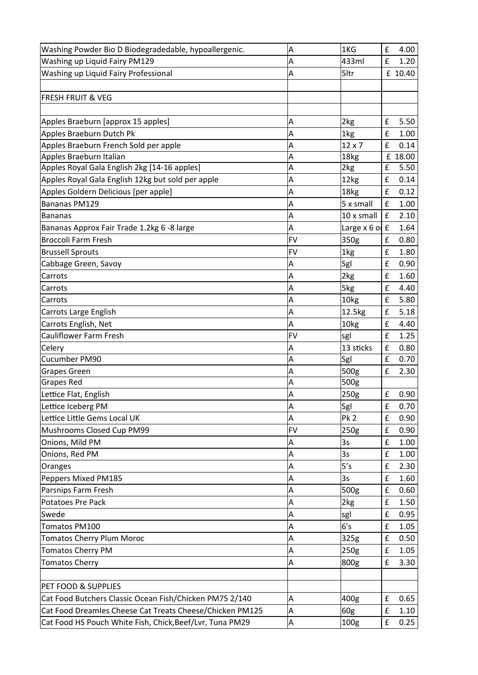| Washing Powder Bio D Biodegradedable, hypoallergenic.    | A         | 1KG                | £                  | 4.00    |
|----------------------------------------------------------|-----------|--------------------|--------------------|---------|
| Washing up Liquid Fairy PM129                            | Α         | 433ml              | £                  | 1.20    |
| Washing up Liquid Fairy Professional                     | A         | 5ltr               |                    | £ 10.40 |
|                                                          |           |                    |                    |         |
| <b>FRESH FRUIT &amp; VEG</b>                             |           |                    |                    |         |
|                                                          |           |                    |                    |         |
| Apples Braeburn [approx 15 apples]                       | A         | 2 <sub>kg</sub>    | £                  | 5.50    |
| Apples Braeburn Dutch Pk                                 | A         | 1kg                | £                  | 1.00    |
| Apples Braeburn French Sold per apple                    | A         | $12 \times 7$      | £                  | 0.14    |
| Apples Braeburn Italian                                  | A         | 18kg               |                    | £ 18.00 |
| Apples Royal Gala English 2kg [14-16 apples]             | A         | 2kg                | £                  | 5.50    |
| Apples Royal Gala English 12kg but sold per apple        | A         | 12kg               | £                  | 0.14    |
| Apples Goldern Delicious [per apple]                     | Α         | 18kg               | £                  | 0.12    |
| Bananas PM129                                            | A         | 5 x small          | £                  | 1.00    |
| Bananas                                                  | Α         | 10 x small         | $\pmb{\mathsf{f}}$ | 2.10    |
| Bananas Approx Fair Trade 1.2kg 6 -8 large               | Α         | Large $x 6$ of $f$ |                    | 1.64    |
| <b>Broccoli Farm Fresh</b>                               | <b>FV</b> | 350g               | £                  | 0.80    |
| <b>Brussell Sprouts</b>                                  | <b>FV</b> | 1kg                | £                  | 1.80    |
| Cabbage Green, Savoy                                     | Α         | Sgl                | £                  | 0.90    |
| Carrots                                                  | A         | 2kg                | £                  | 1.60    |
| Carrots                                                  | A         | 5kg                | £                  | 4.40    |
| Carrots                                                  | A         | 10kg               | £                  | 5.80    |
| <b>Carrots Large English</b>                             | Α         | 12.5kg             | £                  | 5.18    |
| Carrots English, Net                                     | A         | 10 <sub>kg</sub>   | £                  | 4.40    |
| <b>Cauliflower Farm Fresh</b>                            | <b>FV</b> | sgl                | £                  | 1.25    |
| Celery                                                   | A         | 13 sticks          | £                  | 0.80    |
| Cucumber PM90                                            | A         | Sgl                | £                  | 0.70    |
| <b>Grapes Green</b>                                      | Α         | 500g               | £                  | 2.30    |
| Grapes Red                                               | A         | 500g               |                    |         |
| Lettice Flat, English                                    | A         | 250g               | £                  | 0.90    |
| Lettice Iceberg PM                                       | Α         | Sgl                | £                  | 0.70    |
| Lettice Little Gems Local UK                             | Α         | <b>Pk 2</b>        | $\pmb{\mathsf{f}}$ | 0.90    |
| Mushrooms Closed Cup PM99                                | <b>FV</b> | 250g               | £                  | 0.90    |
| Onions, Mild PM                                          | Α         | 3s                 | £                  | 1.00    |
| Onions, Red PM                                           | Α         | 3s                 | £                  | 1.00    |
| Oranges                                                  | Α         | 5's                | £                  | 2.30    |
| Peppers Mixed PM185                                      | Α         | 3s                 | £                  | 1.60    |
| Parsnips Farm Fresh                                      | Α         | 500g               | £                  | 0.60    |
| Potatoes Pre Pack                                        | A         | 2kg                | $\pmb{\mathsf{f}}$ | 1.50    |
| Swede                                                    | Α         | sgl                | £                  | 0.95    |
| Tomatos PM100                                            | Α         | 6's                | £                  | 1.05    |
| <b>Tomatos Cherry Plum Moroc</b>                         | Α         | 325g               | £                  | 0.50    |
| <b>Tomatos Cherry PM</b>                                 | Α         | 250 <sub>g</sub>   | £                  | 1.05    |
| <b>Tomatos Cherry</b>                                    | A         | 800g               | £                  | 3.30    |
|                                                          |           |                    |                    |         |
| PET FOOD & SUPPLIES                                      |           |                    |                    |         |
| Cat Food Butchers Classic Ocean Fish/Chicken PM75 2/140  | A         | 400g               | £                  | 0.65    |
| Cat Food Dreamles Cheese Cat Treats Cheese/Chicken PM125 | Α         | 60g                | £                  | 1.10    |
| Cat Food HS Pouch White Fish, Chick, Beef/Lvr, Tuna PM29 | Α         | 100g               | $\pmb{\mathsf{f}}$ | 0.25    |